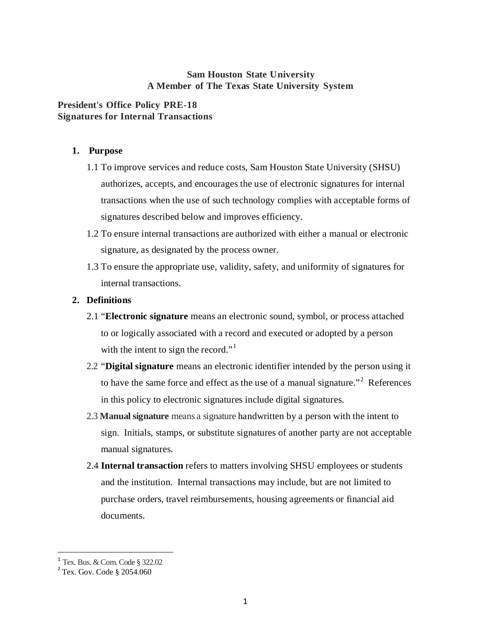## **Sam Houston State University A Member of The Texas State University System**

# **President's Office Policy PRE-18 Signatures for Internal Transactions**

## **1. Purpose**

- 1.1 To improve services and reduce costs, Sam Houston State University (SHSU) authorizes, accepts, and encourages the use of electronic signatures for internal transactions when the use of such technology complies with acceptable forms of signatures described below and improves efficiency.
- 1.2 To ensure internal transactions are authorized with either a manual or electronic signature, as designated by the process owner.
- 1.3 To ensure the appropriate use, validity, safety, and uniformity of signatures for internal transactions.

## **2. Definitions**

- 2.1 "**Electronic signature** means an electronic sound, symbol, or process attached to or logically associated with a record and executed or adopted by a person with the intent to sign the record."<sup>[1](#page-0-0)</sup>
- 2.2 "**Digital signature** means an electronic identifier intended by the person using it to have the same force and effect as the use of a manual signature."<sup>[2](#page-0-1)</sup> References in this policy to electronic signatures include digital signatures.
- 2.3 **Manual signature** means a signature handwritten by a person with the intent to sign. Initials, stamps, or substitute signatures of another party are not acceptable manual signatures.
- 2.4 **Internal transaction** refers to matters involving SHSU employees or students and the institution. Internal transactions may include, but are not limited to purchase orders, travel reimbursements, housing agreements or financial aid documents.

<span id="page-0-1"></span><span id="page-0-0"></span><sup>&</sup>lt;sup>1</sup> Tex. Bus. & Com. Code § 322.02<br><sup>2</sup> Tex. Gov. Code § 2054.060